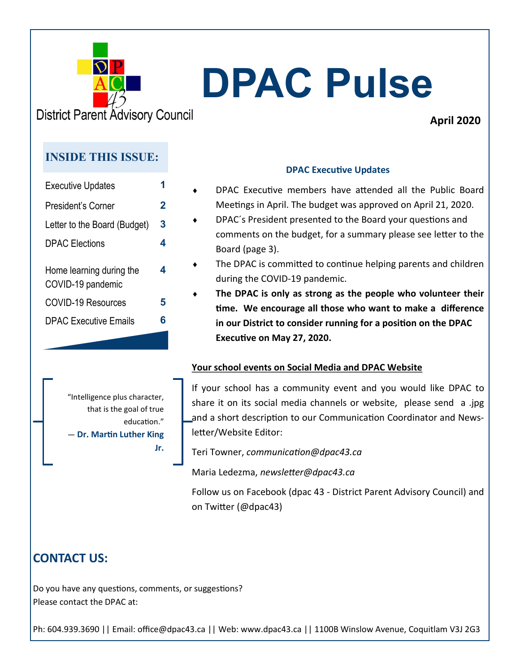

# **DPAC Pulse**

**District Parent Advisory Council** 

### **April 2020**

### **INSIDE THIS ISSUE:**

| 2 |
|---|
| 3 |
| 4 |
|   |
| 4 |
| 5 |
|   |

#### **DPAC Executive Updates**

- DPAC Executive members have attended all the Public Board Meetings in April. The budget was approved on April 21, 2020.
- DPAC´s President presented to the Board your questions and comments on the budget, for a summary please see letter to the Board (page 3).
- The DPAC is committed to continue helping parents and children during the COVID-19 pandemic.
- **The DPAC is only as strong as the people who volunteer their time. We encourage all those who want to make a difference in our District to consider running for a position on the DPAC Executive on May 27, 2020.**

#### **Your school events on Social Media and DPAC Website**

"Intelligence plus character, that is the goal of true education." ― **Dr. Martin Luther King Jr.** 

If your school has a community event and you would like DPAC to share it on its social media channels or website, please send a .jpg and a short description to our Communication Coordinator and Newsletter/Website Editor:

Teri Towner, *communication@dpac43.ca* 

Maria Ledezma, *newsletter@dpac43.ca*

Follow us on Facebook (dpac 43 - District Parent Advisory Council) and on Twitter (@dpac43)

## **CONTACT US:**

Do you have any questions, comments, or suggestions? Please contact the DPAC at: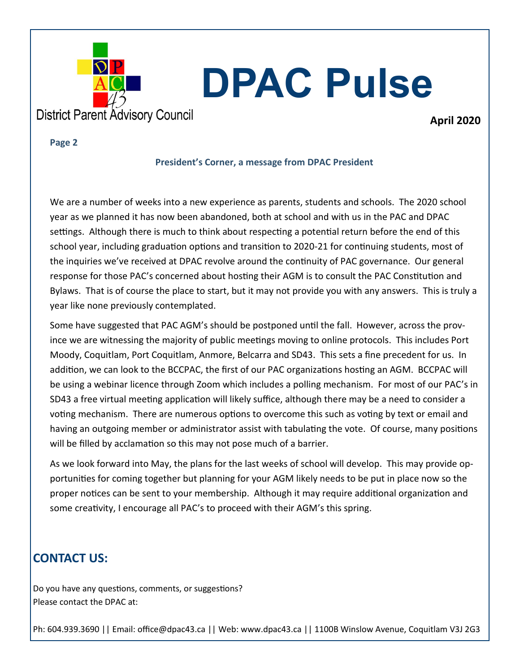

## **April 2020**

**Page 2**

#### **President's Corner, a message from DPAC President**

We are a number of weeks into a new experience as parents, students and schools. The 2020 school year as we planned it has now been abandoned, both at school and with us in the PAC and DPAC settings. Although there is much to think about respecting a potential return before the end of this school year, including graduation options and transition to 2020-21 for continuing students, most of the inquiries we've received at DPAC revolve around the continuity of PAC governance. Our general response for those PAC's concerned about hosting their AGM is to consult the PAC Constitution and Bylaws. That is of course the place to start, but it may not provide you with any answers. This is truly a year like none previously contemplated.

Some have suggested that PAC AGM's should be postponed until the fall. However, across the province we are witnessing the majority of public meetings moving to online protocols. This includes Port Moody, Coquitlam, Port Coquitlam, Anmore, Belcarra and SD43. This sets a fine precedent for us. In addition, we can look to the BCCPAC, the first of our PAC organizations hosting an AGM. BCCPAC will be using a webinar licence through Zoom which includes a polling mechanism. For most of our PAC's in SD43 a free virtual meeting application will likely suffice, although there may be a need to consider a voting mechanism. There are numerous options to overcome this such as voting by text or email and having an outgoing member or administrator assist with tabulating the vote. Of course, many positions will be filled by acclamation so this may not pose much of a barrier.

As we look forward into May, the plans for the last weeks of school will develop. This may provide opportunities for coming together but planning for your AGM likely needs to be put in place now so the proper notices can be sent to your membership. Although it may require additional organization and some creativity, I encourage all PAC's to proceed with their AGM's this spring.

## **CONTACT US:**

Do you have any questions, comments, or suggestions? Please contact the DPAC at: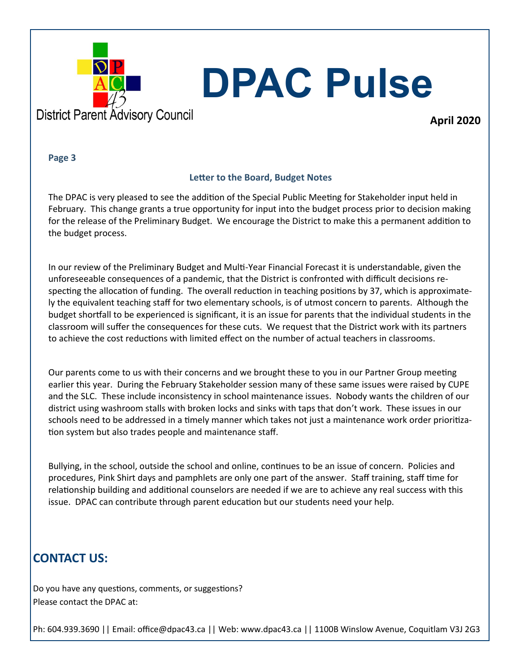

# **DPAC Pulse**

**April 2020**

#### **Page 3**

#### **Letter to the Board, Budget Notes**

The DPAC is very pleased to see the addition of the Special Public Meeting for Stakeholder input held in February. This change grants a true opportunity for input into the budget process prior to decision making for the release of the Preliminary Budget. We encourage the District to make this a permanent addition to the budget process.

In our review of the Preliminary Budget and Multi-Year Financial Forecast it is understandable, given the unforeseeable consequences of a pandemic, that the District is confronted with difficult decisions respecting the allocation of funding. The overall reduction in teaching positions by 37, which is approximately the equivalent teaching staff for two elementary schools, is of utmost concern to parents. Although the budget shortfall to be experienced is significant, it is an issue for parents that the individual students in the classroom will suffer the consequences for these cuts. We request that the District work with its partners to achieve the cost reductions with limited effect on the number of actual teachers in classrooms.

Our parents come to us with their concerns and we brought these to you in our Partner Group meeting earlier this year. During the February Stakeholder session many of these same issues were raised by CUPE and the SLC. These include inconsistency in school maintenance issues. Nobody wants the children of our district using washroom stalls with broken locks and sinks with taps that don't work. These issues in our schools need to be addressed in a timely manner which takes not just a maintenance work order prioritization system but also trades people and maintenance staff.

Bullying, in the school, outside the school and online, continues to be an issue of concern. Policies and procedures, Pink Shirt days and pamphlets are only one part of the answer. Staff training, staff time for relationship building and additional counselors are needed if we are to achieve any real success with this issue. DPAC can contribute through parent education but our students need your help.

## **CONTACT US:**

Do you have any questions, comments, or suggestions? Please contact the DPAC at: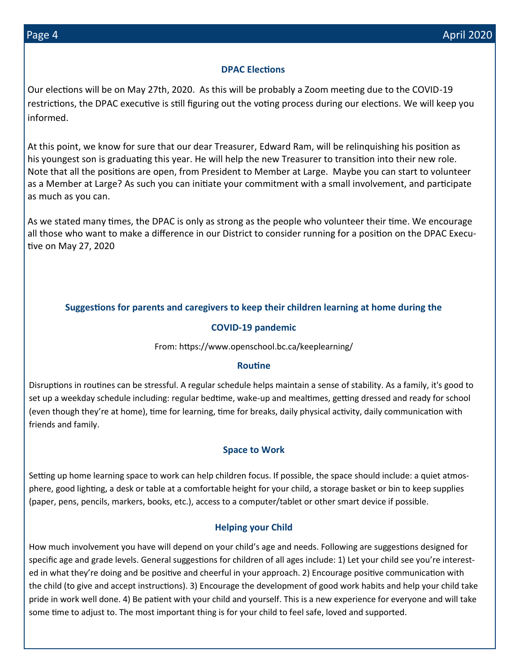#### **DPAC Elections**

Our elections will be on May 27th, 2020. As this will be probably a Zoom meeting due to the COVID-19 restrictions, the DPAC executive is still figuring out the voting process during our elections. We will keep you informed.

At this point, we know for sure that our dear Treasurer, Edward Ram, will be relinquishing his position as his youngest son is graduating this year. He will help the new Treasurer to transition into their new role. Note that all the positions are open, from President to Member at Large. Maybe you can start to volunteer as a Member at Large? As such you can initiate your commitment with a small involvement, and participate as much as you can.

As we stated many times, the DPAC is only as strong as the people who volunteer their time. We encourage all those who want to make a difference in our District to consider running for a position on the DPAC Executive on May 27, 2020

#### **Suggestions for parents and caregivers to keep their children learning at home during the**

#### **COVID-19 pandemic**

From: https://www.openschool.bc.ca/keeplearning/

#### **Routine**

Disruptions in routines can be stressful. A regular schedule helps maintain a sense of stability. As a family, it's good to set up a weekday schedule including: regular bedtime, wake-up and mealtimes, getting dressed and ready for school (even though they're at home), time for learning, time for breaks, daily physical activity, daily communication with friends and family.

#### **Space to Work**

Setting up home learning space to work can help children focus. If possible, the space should include: a quiet atmosphere, good lighting, a desk or table at a comfortable height for your child, a storage basket or bin to keep supplies (paper, pens, pencils, markers, books, etc.), access to a computer/tablet or other smart device if possible.

#### **Helping your Child**

How much involvement you have will depend on your child's age and needs. Following are suggestions designed for specific age and grade levels. General suggestions for children of all ages include: 1) Let your child see you're interested in what they're doing and be positive and cheerful in your approach. 2) Encourage positive communication with the child (to give and accept instructions). 3) Encourage the development of good work habits and help your child take pride in work well done. 4) Be patient with your child and yourself. This is a new experience for everyone and will take some time to adjust to. The most important thing is for your child to feel safe, loved and supported.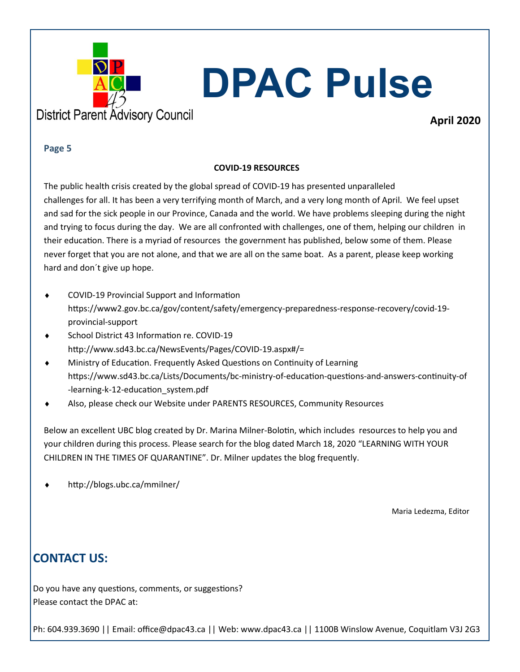

# **DPAC Pulse**

**April 2020**

#### **Page 5**

#### **COVID-19 RESOURCES**

The public health crisis created by the global spread of COVID-19 has presented unparalleled challenges for all. It has been a very terrifying month of March, and a very long month of April. We feel upset and sad for the sick people in our Province, Canada and the world. We have problems sleeping during the night and trying to focus during the day. We are all confronted with challenges, one of them, helping our children in their education. There is a myriad of resources the government has published, below some of them. Please never forget that you are not alone, and that we are all on the same boat. As a parent, please keep working hard and don´t give up hope.

- COVID-19 Provincial Support and Information https://www2.gov.bc.ca/gov/content/safety/emergency-preparedness-response-recovery/covid-19 provincial-support
- ◆ School District 43 Information re. COVID-19 http://www.sd43.bc.ca/NewsEvents/Pages/COVID-19.aspx#/=
- Ministry of Education. Frequently Asked Questions on Continuity of Learning https://www.sd43.bc.ca/Lists/Documents/bc-ministry-of-education-questions-and-answers-continuity-of -learning-k-12-education\_system.pdf
- Also, please check our Website under PARENTS RESOURCES, Community Resources

Below an excellent UBC blog created by Dr. Marina Milner-Bolotin, which includes resources to help you and your children during this process. Please search for the blog dated March 18, 2020 "LEARNING WITH YOUR CHILDREN IN THE TIMES OF QUARANTINE". Dr. Milner updates the blog frequently.

http://blogs.ubc.ca/mmilner/

Maria Ledezma, Editor

## **CONTACT US:**

Do you have any questions, comments, or suggestions? Please contact the DPAC at: